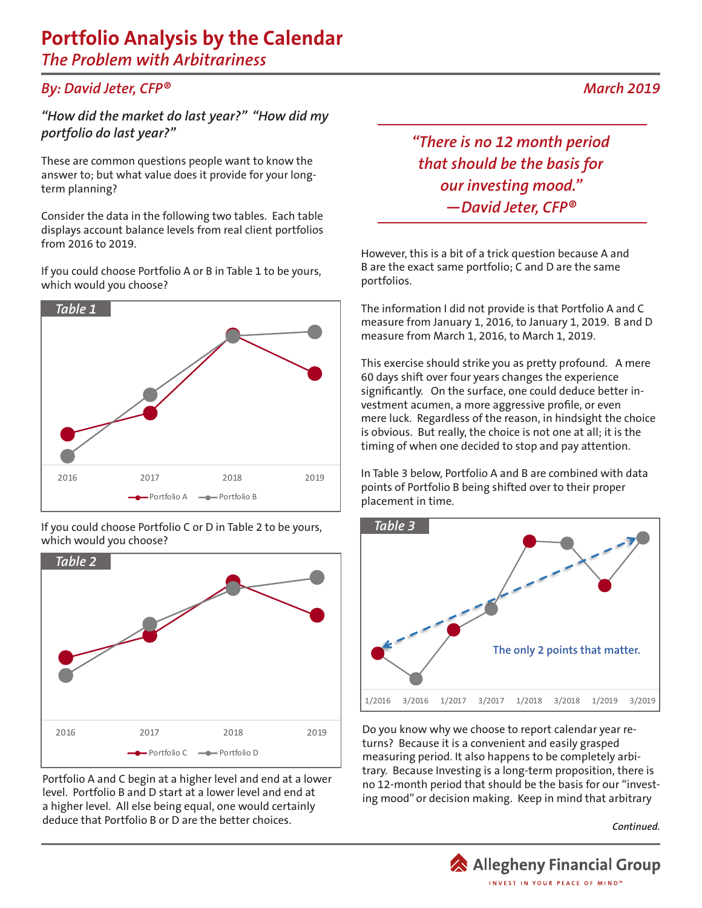## **Portfolio Analysis by the Calendar**

*The Problem with Arbitrariness*

## *By: David Jeter, CFP® March 2019*

*"How did the market do last year?" "How did my portfolio do last year?"* 

These are common questions people want to know the answer to; but what value does it provide for your longterm planning?

Consider the data in the following two tables. Each table displays account balance levels from real client portfolios from 2016 to 2019.

If you could choose Portfolio A or B in Table 1 to be yours, which would you choose?



If you could choose Portfolio C or D in Table 2 to be yours, which would you choose?



Portfolio A and C begin at a higher level and end at a lower level. Portfolio B and D start at a lower level and end at a higher level. All else being equal, one would certainly deduce that Portfolio B or D are the better choices.

*"There is no 12 month period that should be the basis for our investing mood." —David Jeter, CFP®*

However, this is a bit of a trick question because A and B are the exact same portfolio; C and D are the same portfolios.

The information I did not provide is that Portfolio A and C measure from January 1, 2016, to January 1, 2019. B and D measure from March 1, 2016, to March 1, 2019.

This exercise should strike you as pretty profound. A mere 60 days shift over four years changes the experience significantly. On the surface, one could deduce better investment acumen, a more aggressive profile, or even mere luck. Regardless of the reason, in hindsight the choice is obvious. But really, the choice is not one at all; it is the timing of when one decided to stop and pay attention.

In Table 3 below, Portfolio A and B are combined with data points of Portfolio B being shifted over to their proper placement in time.



Do you know why we choose to report calendar year returns? Because it is a convenient and easily grasped measuring period. It also happens to be completely arbitrary. Because Investing is a long-term proposition, there is no 12-month period that should be the basis for our "investing mood" or decision making. Keep in mind that arbitrary